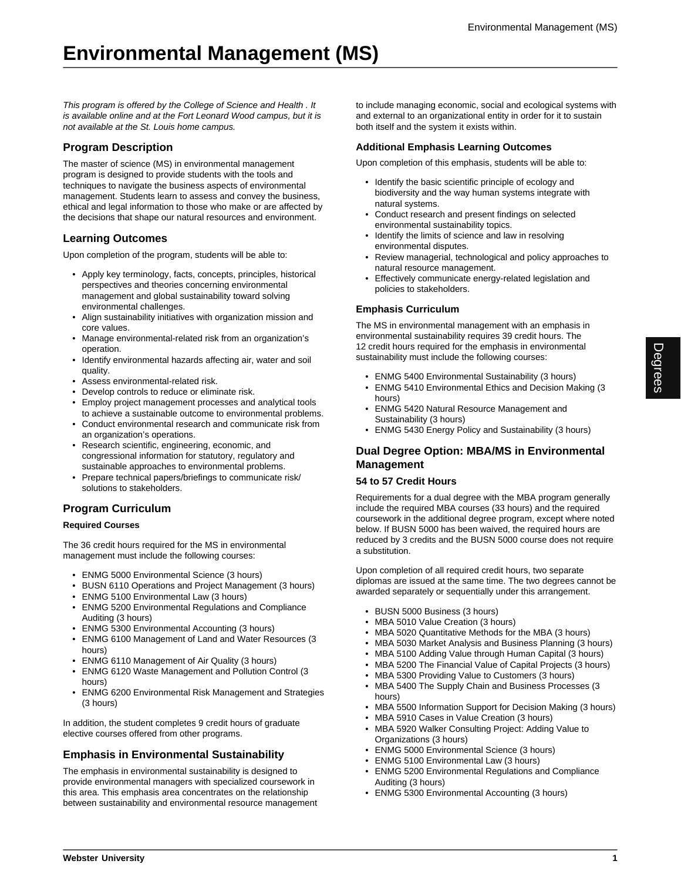This program is offered by the College of Science and Health . It is available online and at the Fort Leonard Wood campus, but it is not available at the St. Louis home campus.

# **Program Description**

The master of science (MS) in environmental management program is designed to provide students with the tools and techniques to navigate the business aspects of environmental management. Students learn to assess and convey the business, ethical and legal information to those who make or are affected by the decisions that shape our natural resources and environment.

### **Learning Outcomes**

Upon completion of the program, students will be able to:

- Apply key terminology, facts, concepts, principles, historical perspectives and theories concerning environmental management and global sustainability toward solving environmental challenges.
- Align sustainability initiatives with organization mission and core values.
- Manage environmental-related risk from an organization's operation.
- Identify environmental hazards affecting air, water and soil quality.
- Assess environmental-related risk.
- Develop controls to reduce or eliminate risk.
- Employ project management processes and analytical tools to achieve a sustainable outcome to environmental problems.
- Conduct environmental research and communicate risk from an organization's operations.
- Research scientific, engineering, economic, and congressional information for statutory, regulatory and sustainable approaches to environmental problems.
- Prepare technical papers/briefings to communicate risk/ solutions to stakeholders.

# **Program Curriculum**

#### **Required Courses**

The 36 credit hours required for the MS in environmental management must include the following courses:

- ENMG 5000 Environmental Science (3 hours)
- BUSN 6110 Operations and Project Management (3 hours)
- ENMG 5100 Environmental Law (3 hours)
- ENMG 5200 Environmental Regulations and Compliance Auditing (3 hours)
- ENMG 5300 Environmental Accounting (3 hours)
- ENMG 6100 Management of Land and Water Resources (3 hours)
- ENMG 6110 Management of Air Quality (3 hours)
- ENMG 6120 Waste Management and Pollution Control (3 hours)
- ENMG 6200 Environmental Risk Management and Strategies (3 hours)

In addition, the student completes 9 credit hours of graduate elective courses offered from other programs.

## **Emphasis in Environmental Sustainability**

The emphasis in environmental sustainability is designed to provide environmental managers with specialized coursework in this area. This emphasis area concentrates on the relationship between sustainability and environmental resource management

to include managing economic, social and ecological systems with and external to an organizational entity in order for it to sustain both itself and the system it exists within.

#### **Additional Emphasis Learning Outcomes**

Upon completion of this emphasis, students will be able to:

- Identify the basic scientific principle of ecology and biodiversity and the way human systems integrate with natural systems.
- Conduct research and present findings on selected environmental sustainability topics.
- Identify the limits of science and law in resolving environmental disputes.
- Review managerial, technological and policy approaches to natural resource management.
- Effectively communicate energy-related legislation and policies to stakeholders.

### **Emphasis Curriculum**

The MS in environmental management with an emphasis in environmental sustainability requires 39 credit hours. The 12 credit hours required for the emphasis in environmental sustainability must include the following courses:

- ENMG 5400 Environmental Sustainability (3 hours)
- ENMG 5410 Environmental Ethics and Decision Making (3 hours)
- ENMG 5420 Natural Resource Management and Sustainability (3 hours)
- ENMG 5430 Energy Policy and Sustainability (3 hours)

## **Dual Degree Option: MBA/MS in Environmental Management**

#### **54 to 57 Credit Hours**

Requirements for a dual degree with the MBA program generally include the required MBA courses (33 hours) and the required coursework in the additional degree program, except where noted below. If BUSN 5000 has been waived, the required hours are reduced by 3 credits and the BUSN 5000 course does not require a substitution.

Upon completion of all required credit hours, two separate diplomas are issued at the same time. The two degrees cannot be awarded separately or sequentially under this arrangement.

- BUSN 5000 Business (3 hours)
- MBA 5010 Value Creation (3 hours)
- MBA 5020 Quantitative Methods for the MBA (3 hours)
- MBA 5030 Market Analysis and Business Planning (3 hours)
- MBA 5100 Adding Value through Human Capital (3 hours)
- MBA 5200 The Financial Value of Capital Projects (3 hours)
- MBA 5300 Providing Value to Customers (3 hours)
- MBA 5400 The Supply Chain and Business Processes (3 hours)
- MBA 5500 Information Support for Decision Making (3 hours)
- MBA 5910 Cases in Value Creation (3 hours)
- MBA 5920 Walker Consulting Project: Adding Value to Organizations (3 hours)
- ENMG 5000 Environmental Science (3 hours)
- ENMG 5100 Environmental Law (3 hours)
- ENMG 5200 Environmental Regulations and Compliance Auditing (3 hours)
- ENMG 5300 Environmental Accounting (3 hours)